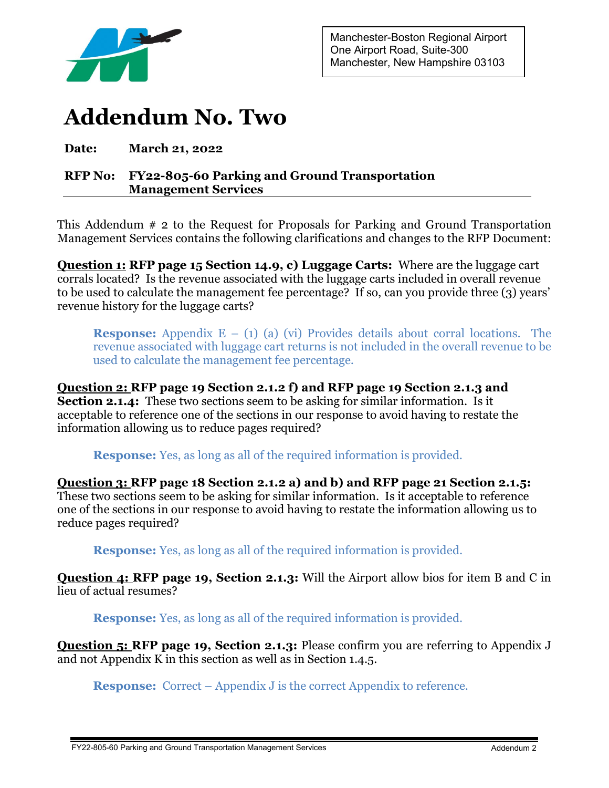

## **Addendum No. Two**

**Date: March 21, 2022**

## **RFP No: FY22-805-60 Parking and Ground Transportation Management Services**

This Addendum # 2 to the Request for Proposals for Parking and Ground Transportation Management Services contains the following clarifications and changes to the RFP Document:

**Question 1: RFP page 15 Section 14.9, c) Luggage Carts:** Where are the luggage cart corrals located? Is the revenue associated with the luggage carts included in overall revenue to be used to calculate the management fee percentage? If so, can you provide three (3) years' revenue history for the luggage carts?

**Response:** Appendix E – (1) (a) (vi) Provides details about corral locations. The revenue associated with luggage cart returns is not included in the overall revenue to be used to calculate the management fee percentage.

**Question 2: RFP page 19 Section 2.1.2 f) and RFP page 19 Section 2.1.3 and Section 2.1.4:** These two sections seem to be asking for similar information. Is it acceptable to reference one of the sections in our response to avoid having to restate the information allowing us to reduce pages required?

**Response:** Yes, as long as all of the required information is provided.

**Question 3: RFP page 18 Section 2.1.2 a) and b) and RFP page 21 Section 2.1.5:** These two sections seem to be asking for similar information. Is it acceptable to reference one of the sections in our response to avoid having to restate the information allowing us to reduce pages required?

**Response:** Yes, as long as all of the required information is provided.

**Question 4: RFP page 19, Section 2.1.3:** Will the Airport allow bios for item B and C in lieu of actual resumes?

**Response:** Yes, as long as all of the required information is provided.

**Question 5: RFP page 19, Section 2.1.3:** Please confirm you are referring to Appendix J and not Appendix K in this section as well as in Section 1.4.5.

**Response:** Correct – Appendix J is the correct Appendix to reference.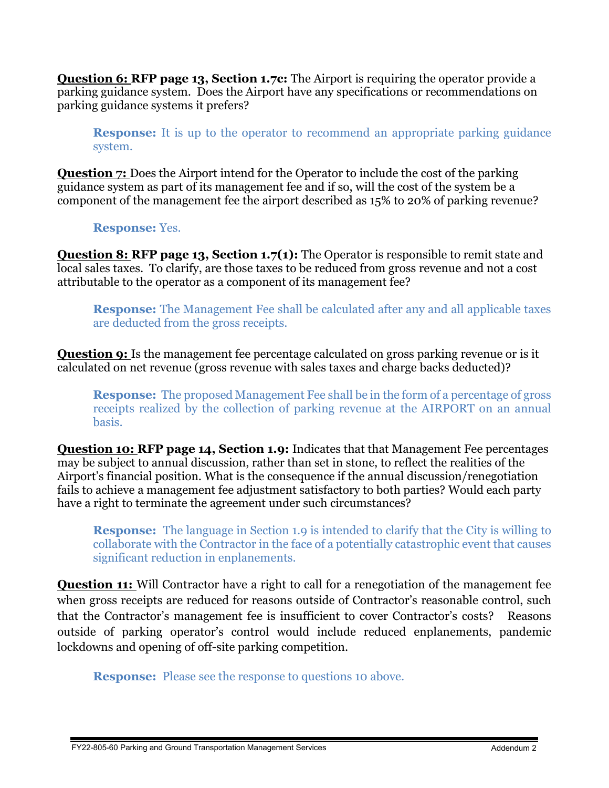**Question 6: RFP page 13, Section 1.7c:** The Airport is requiring the operator provide a parking guidance system. Does the Airport have any specifications or recommendations on parking guidance systems it prefers?

**Response:** It is up to the operator to recommend an appropriate parking guidance system.

**Question 7:** Does the Airport intend for the Operator to include the cost of the parking guidance system as part of its management fee and if so, will the cost of the system be a component of the management fee the airport described as 15% to 20% of parking revenue?

**Response:** Yes.

**Question 8: RFP page 13, Section 1.7(1):** The Operator is responsible to remit state and local sales taxes. To clarify, are those taxes to be reduced from gross revenue and not a cost attributable to the operator as a component of its management fee?

**Response:** The Management Fee shall be calculated after any and all applicable taxes are deducted from the gross receipts.

**Question 9:** Is the management fee percentage calculated on gross parking revenue or is it calculated on net revenue (gross revenue with sales taxes and charge backs deducted)?

**Response:** The proposed Management Fee shall be in the form of a percentage of gross receipts realized by the collection of parking revenue at the AIRPORT on an annual basis.

**Question 10: RFP page 14, Section 1.9:** Indicates that that Management Fee percentages may be subject to annual discussion, rather than set in stone, to reflect the realities of the Airport's financial position. What is the consequence if the annual discussion/renegotiation fails to achieve a management fee adjustment satisfactory to both parties? Would each party have a right to terminate the agreement under such circumstances?

**Response:** The language in Section 1.9 is intended to clarify that the City is willing to collaborate with the Contractor in the face of a potentially catastrophic event that causes significant reduction in enplanements.

**Question 11:** Will Contractor have a right to call for a renegotiation of the management fee when gross receipts are reduced for reasons outside of Contractor's reasonable control, such that the Contractor's management fee is insufficient to cover Contractor's costs? Reasons outside of parking operator's control would include reduced enplanements, pandemic lockdowns and opening of off-site parking competition.

**Response:** Please see the response to questions 10 above.